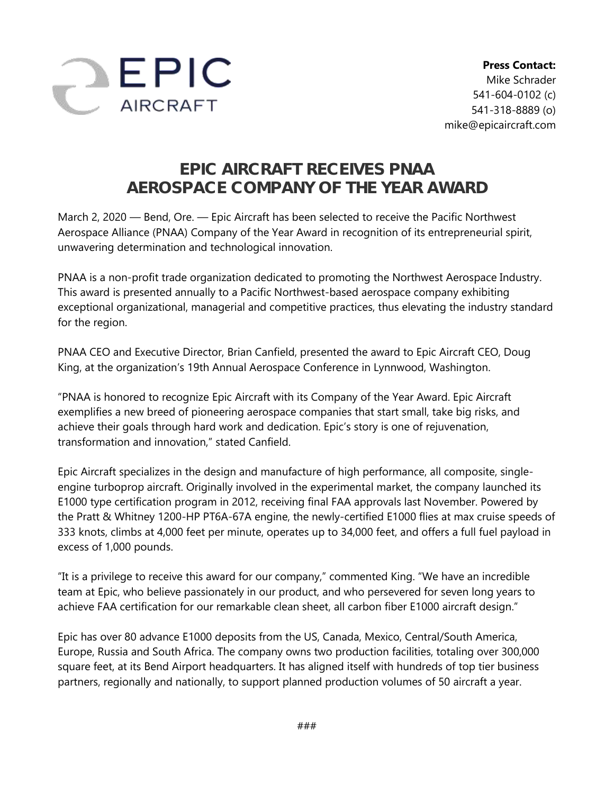

## **EPIC AIRCRAFT RECEIVES PNAA AEROSPACE COMPANY OF THE YEAR AWARD**

March 2, 2020 — Bend, Ore. — Epic Aircraft has been selected to receive the Pacific Northwest Aerospace Alliance (PNAA) Company of the Year Award in recognition of its entrepreneurial spirit, unwavering determination and technological innovation.

PNAA is a non-profit trade organization dedicated to promoting the Northwest Aerospace Industry. This award is presented annually to a Pacific Northwest-based aerospace company exhibiting exceptional organizational, managerial and competitive practices, thus elevating the industry standard for the region.

PNAA CEO and Executive Director, Brian Canfield, presented the award to Epic Aircraft CEO, Doug King, at the organization's 19th Annual Aerospace Conference in Lynnwood, Washington.

"PNAA is honored to recognize Epic Aircraft with its Company of the Year Award. Epic Aircraft exemplifies a new breed of pioneering aerospace companies that start small, take big risks, and achieve their goals through hard work and dedication. Epic's story is one of rejuvenation, transformation and innovation," stated Canfield.

Epic Aircraft specializes in the design and manufacture of high performance, all composite, singleengine turboprop aircraft. Originally involved in the experimental market, the company launched its E1000 type certification program in 2012, receiving final FAA approvals last November. Powered by the Pratt & Whitney 1200-HP PT6A-67A engine, the newly-certified E1000 flies at max cruise speeds of 333 knots, climbs at 4,000 feet per minute, operates up to 34,000 feet, and offers a full fuel payload in excess of 1,000 pounds.

"It is a privilege to receive this award for our company," commented King. "We have an incredible team at Epic, who believe passionately in our product, and who persevered for seven long years to achieve FAA certification for our remarkable clean sheet, all carbon fiber E1000 aircraft design."

Epic has over 80 advance E1000 deposits from the US, Canada, Mexico, Central/South America, Europe, Russia and South Africa. The company owns two production facilities, totaling over 300,000 square feet, at its Bend Airport headquarters. It has aligned itself with hundreds of top tier business partners, regionally and nationally, to support planned production volumes of 50 aircraft a year.